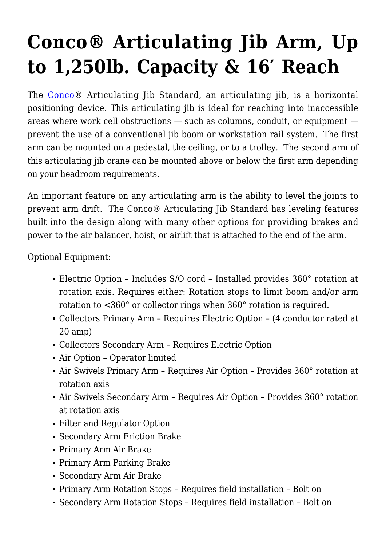## **[Conco® Articulating Jib Arm, Up](https://concojibs.com/product/articulated-jib-standard/) [to 1,250lb. Capacity & 16′ Reach](https://concojibs.com/product/articulated-jib-standard/)**

The [Conco](http://concojibs.positech.com/about-conco/)® Articulating Jib Standard, an articulating jib, is a horizontal positioning device. This articulating jib is ideal for reaching into inaccessible areas where work cell obstructions — such as columns, conduit, or equipment prevent the use of a conventional jib boom or workstation rail system. The first arm can be mounted on a pedestal, the ceiling, or to a trolley. The second arm of this articulating jib crane can be mounted above or below the first arm depending on your headroom requirements.

An important feature on any articulating arm is the ability to level the joints to prevent arm drift. The Conco® Articulating Jib Standard has leveling features built into the design along with many other options for providing brakes and power to the air balancer, hoist, or airlift that is attached to the end of the arm.

Optional Equipment:

- Electric Option Includes S/O cord Installed provides 360° rotation at rotation axis. Requires either: Rotation stops to limit boom and/or arm rotation to <360° or collector rings when 360° rotation is required.
- Collectors Primary Arm Requires Electric Option (4 conductor rated at 20 amp)
- Collectors Secondary Arm Requires Electric Option
- Air Option Operator limited
- Air Swivels Primary Arm Requires Air Option Provides 360° rotation at rotation axis
- Air Swivels Secondary Arm Requires Air Option Provides 360° rotation at rotation axis
- Filter and Regulator Option
- Secondary Arm Friction Brake
- Primary Arm Air Brake
- Primary Arm Parking Brake
- Secondary Arm Air Brake
- Primary Arm Rotation Stops Requires field installation Bolt on
- Secondary Arm Rotation Stops Requires field installation Bolt on